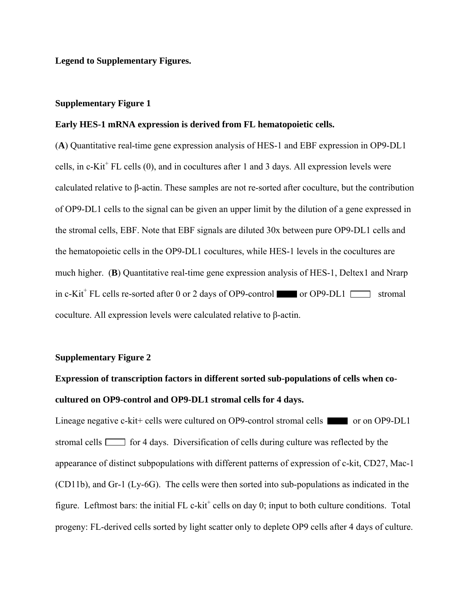**Legend to Supplementary Figures.** 

### **Supplementary Figure 1**

#### **Early HES-1 mRNA expression is derived from FL hematopoietic cells.**

(**A**) Quantitative real-time gene expression analysis of HES-1 and EBF expression in OP9-DL1 cells, in  $c$ -Kit<sup>+</sup> FL cells  $(0)$ , and in cocultures after 1 and 3 days. All expression levels were calculated relative to β-actin. These samples are not re-sorted after coculture, but the contribution of OP9-DL1 cells to the signal can be given an upper limit by the dilution of a gene expressed in the stromal cells, EBF. Note that EBF signals are diluted 30x between pure OP9-DL1 cells and the hematopoietic cells in the OP9-DL1 cocultures, while HES-1 levels in the cocultures are much higher. (**B**) Quantitative real-time gene expression analysis of HES-1, Deltex1 and Nrarp in c-Kit<sup>+</sup> FL cells re-sorted after 0 or 2 days of OP9-control or OP9-DL1 stromal coculture. All expression levels were calculated relative to β-actin.

### **Supplementary Figure 2**

## **Expression of transcription factors in different sorted sub-populations of cells when cocultured on OP9-control and OP9-DL1 stromal cells for 4 days.**

Lineage negative c-kit+ cells were cultured on OP9-control stromal cells or on OP9-DL1 stromal cells  $\Box$  for 4 days. Diversification of cells during culture was reflected by the appearance of distinct subpopulations with different patterns of expression of c-kit, CD27, Mac-1 (CD11b), and Gr-1 (Ly-6G). The cells were then sorted into sub-populations as indicated in the figure. Leftmost bars: the initial  $FL$  c-kit<sup>+</sup> cells on day 0; input to both culture conditions. Total progeny: FL-derived cells sorted by light scatter only to deplete OP9 cells after 4 days of culture.